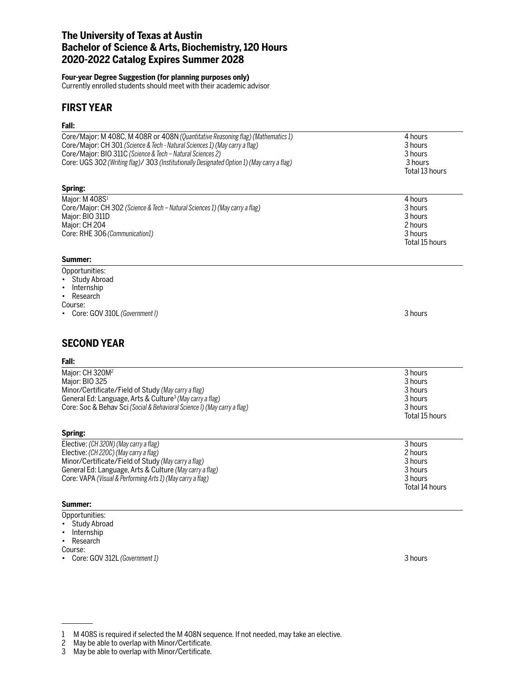# **The University of Texas at Austin Bachelor of Science & Arts, Biochemistry, 120 Hours 2020-2022 Catalog Expires Summer 2028**

## **Four-year Degree Suggestion (for planning purposes only)**

Currently enrolled students should meet with their academic advisor

# **FIRST YEAR**

## **Fall:**

| ган.                                                                                                                                                                                                                                                                                                                        |                                                                       |
|-----------------------------------------------------------------------------------------------------------------------------------------------------------------------------------------------------------------------------------------------------------------------------------------------------------------------------|-----------------------------------------------------------------------|
| Core/Major: M 408C, M 408R or 408N (Quantitative Reasoning flag) (Mathematics 1)<br>Core/Major: CH 301 (Science & Tech - Natural Sciences 1) (May carry a flag)<br>Core/Major: BIO 311C (Science & Tech - Natural Sciences 2)<br>Core: UGS 302 (Writing flag)/ 303 (Institutionally Designated Option 1) (May carry a flag) | 4 hours<br>3 hours<br>3 hours<br>3 hours<br>Total 13 hours            |
| Spring:                                                                                                                                                                                                                                                                                                                     |                                                                       |
| Major: M 408S <sup>1</sup><br>Core/Major: CH 302 (Science & Tech - Natural Sciences 1) (May carry a flag)<br>Major: BIO 311D<br>Major: CH 204<br>Core: RHE 306 (Communication1)<br>Summer:                                                                                                                                  | 4 hours<br>3 hours<br>3 hours<br>2 hours<br>3 hours<br>Total 15 hours |
| Opportunities:<br><b>Study Abroad</b><br>Internship<br>Research<br>$\bullet$<br>Course:<br>• Core: GOV 310L (Government I)                                                                                                                                                                                                  | 3 hours                                                               |
| <b>SECOND YEAR</b><br>Fall:                                                                                                                                                                                                                                                                                                 |                                                                       |
|                                                                                                                                                                                                                                                                                                                             |                                                                       |
| Major: CH 320M <sup>2</sup><br>Major: BIO 325<br>Minor/Certificate/Field of Study (May carry a flag)<br>General Ed: Language, Arts & Culture <sup>3</sup> (May carry a flag)<br>Core: Soc & Behav Sci (Social & Behavioral Science I) (May carry a flag)                                                                    | 3 hours<br>3 hours<br>3 hours<br>3 hours<br>3 hours<br>Total 15 hours |
| Spring:                                                                                                                                                                                                                                                                                                                     |                                                                       |
| Elective: (CH 320N) (May carry a flag)<br>Elective: (CH 220C) (May carry a flag)<br>Minor/Certificate/Field of Study (May carry a flag)<br>General Ed: Language, Arts & Culture (May carry a flag)<br>Core: VAPA (Visual & Performing Arts 1) (May carry a flag)                                                            | 3 hours<br>2 hours<br>3 hours<br>3 hours<br>3 hours<br>Total 14 hours |
| Summer:                                                                                                                                                                                                                                                                                                                     |                                                                       |
| Opportunities:                                                                                                                                                                                                                                                                                                              |                                                                       |

- Study Abroad
- Internship
- Research
- Course:
- Core: GOV 312L *(Government 1)* 3 hours

<sup>1</sup> M 408S is required if selected the M 408N sequence. If not needed, may take an elective.

<sup>2</sup> May be able to overlap with Minor/Certificate.

<sup>3</sup> May be able to overlap with Minor/Certificate.